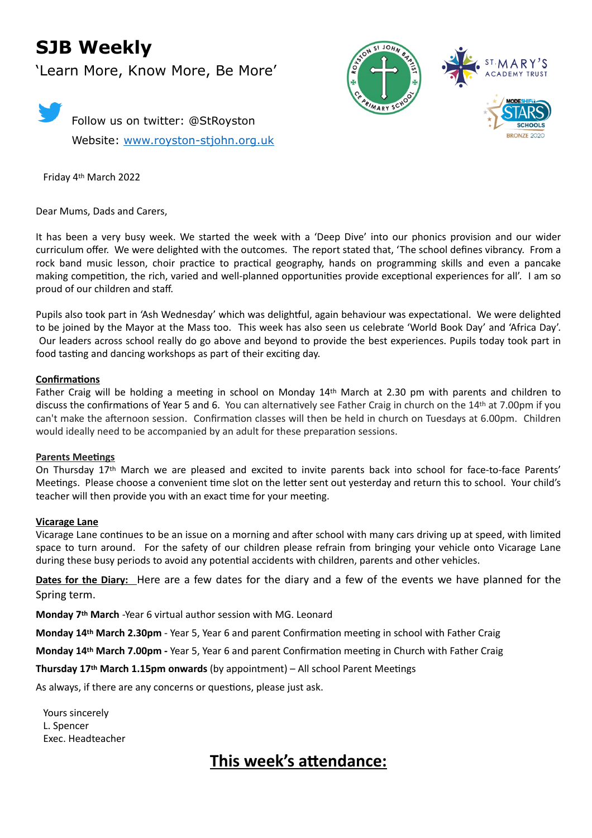## **SJB Weekly**

### 'Learn More, Know More, Be More'





Friday 4th March 2022

Dear Mums, Dads and Carers,

It has been a very busy week. We started the week with a 'Deep Dive' into our phonics provision and our wider curriculum offer. We were delighted with the outcomes. The report stated that, 'The school defines vibrancy. From a rock band music lesson, choir practice to practical geography, hands on programming skills and even a pancake making competition, the rich, varied and well-planned opportunities provide exceptional experiences for all'. I am so proud of our children and staff.

Pupils also took part in 'Ash Wednesday' which was delightful, again behaviour was expectational. We were delighted to be joined by the Mayor at the Mass too. This week has also seen us celebrate 'World Book Day' and 'Africa Day'. Our leaders across school really do go above and beyond to provide the best experiences. Pupils today took part in food tasting and dancing workshops as part of their exciting day.

#### **Confirmations**

Father Craig will be holding a meeting in school on Monday 14th March at 2.30 pm with parents and children to discuss the confirmations of Year 5 and 6. You can alternatively see Father Craig in church on the 14th at 7.00pm if you can't make the afternoon session. Confirmation classes will then be held in church on Tuesdays at 6.00pm. Children would ideally need to be accompanied by an adult for these preparation sessions.

#### **Parents Meetings**

On Thursday 17th March we are pleased and excited to invite parents back into school for face-to-face Parents' Meetings. Please choose a convenient time slot on the letter sent out yesterday and return this to school. Your child's teacher will then provide you with an exact time for your meeting.

#### **Vicarage Lane**

Vicarage Lane continues to be an issue on a morning and after school with many cars driving up at speed, with limited space to turn around. For the safety of our children please refrain from bringing your vehicle onto Vicarage Lane during these busy periods to avoid any potential accidents with children, parents and other vehicles.

**Dates for the Diary:** Here are a few dates for the diary and a few of the events we have planned for the Spring term.

**Monday 7th March** -Year 6 virtual author session with MG. Leonard

**Monday 14th March 2.30pm** - Year 5, Year 6 and parent Confirmation meeting in school with Father Craig

**Monday 14th March 7.00pm -** Year 5, Year 6 and parent Confirmation meeting in Church with Father Craig

**Thursday 17th March 1.15pm onwards** (by appointment) – All school Parent Meetings

As always, if there are any concerns or questions, please just ask.

 Yours sincerely L. Spencer Exec. Headteacher

### **This week's attendance:**